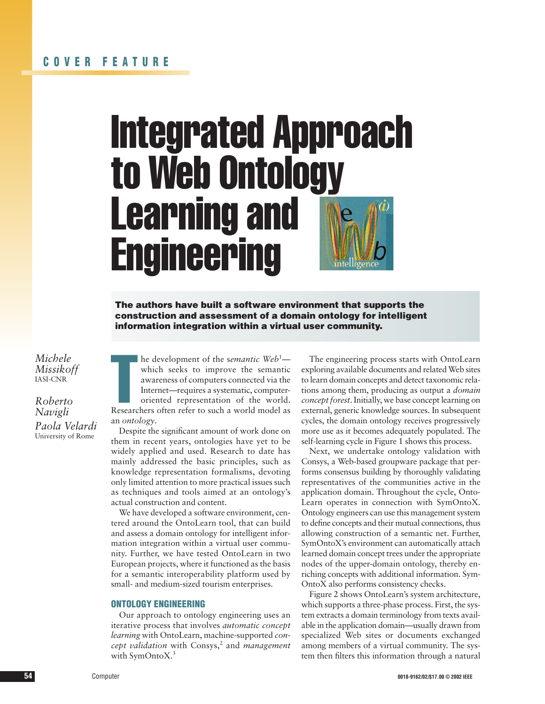# Integrated Approach to Web Ontology Learning and **Engineering**

The authors have built a software environment that supports the construction and assessment of a domain ontology for intelligent information integration within a virtual user community.

*Michele Missikoff* IASI-CNR

*Roberto Navigli Paola Velardi* University of Rome

he development of the *semantic* Web<sup>1</sup>—<br>which seeks to improve the semantic<br>awareness of computers connected via the<br>Internet—requires a systematic, computer-<br>oriented representation of the world.<br>Researchers often refer he development of the s*emantic Web*<sup>1</sup> which seeks to improve the semantic awareness of computers connected via the Internet—requires a systematic, computeroriented representation of the world. an *ontology*.

Despite the significant amount of work done on them in recent years, ontologies have yet to be widely applied and used. Research to date has mainly addressed the basic principles, such as knowledge representation formalisms, devoting only limited attention to more practical issues such as techniques and tools aimed at an ontology's actual construction and content.

We have developed a software environment, centered around the OntoLearn tool, that can build and assess a domain ontology for intelligent information integration within a virtual user community. Further, we have tested OntoLearn in two European projects, where it functioned as the basis for a semantic interoperability platform used by small- and medium-sized tourism enterprises.

# ONTOLOGY ENGINEERING

Our approach to ontology engineering uses an iterative process that involves *automatic concept learning* with OntoLearn, machine-supported *concept validation* with Consys,<sup>2</sup> and *management* with SymOntoX.<sup>3</sup>

The engineering process starts with OntoLearn exploring available documents and related Web sites to learn domain concepts and detect taxonomic relations among them, producing as output a *domain concept forest*. Initially, we base concept learning on external, generic knowledge sources. In subsequent cycles, the domain ontology receives progressively more use as it becomes adequately populated. The self-learning cycle in Figure 1 shows this process.

Next, we undertake ontology validation with Consys, a Web-based groupware package that performs consensus building by thoroughly validating representatives of the communities active in the application domain. Throughout the cycle, Onto-Learn operates in connection with SymOntoX. Ontology engineers can use this management system to define concepts and their mutual connections, thus allowing construction of a semantic net. Further, SymOntoX's environment can automatically attach learned domain concept trees under the appropriate nodes of the upper-domain ontology, thereby enriching concepts with additional information. Sym-OntoX also performs consistency checks.

Figure 2 shows OntoLearn's system architecture, which supports a three-phase process. First, the system extracts a domain terminology from texts available in the application domain—usually drawn from specialized Web sites or documents exchanged among members of a virtual community. The system then filters this information through a natural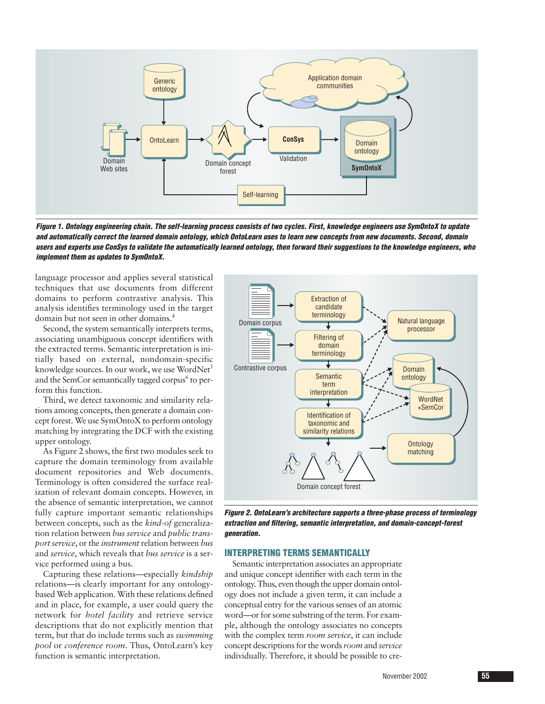

*Figure 1. Ontology engineering chain. The self-learning process consists of two cycles. First, knowledge engineers use SymOntoX to update and automatically correct the learned domain ontology, which OntoLearn uses to learn new concepts from new documents. Second, domain users and experts use ConSys to validate the automatically learned ontology, then forward their suggestions to the knowledge engineers, who implement them as updates to SymOntoX.*

language processor and applies several statistical techniques that use documents from different domains to perform contrastive analysis. This analysis identifies terminology used in the target domain but not seen in other domains.4

Second, the system semantically interprets terms, associating unambiguous concept identifiers with the extracted terms. Semantic interpretation is initially based on external, nondomain-specific knowledge sources. In our work, we use WordNet<sup>5</sup> and the SemCor semantically tagged corpus $<sup>6</sup>$  to per-</sup> form this function.

Third, we detect taxonomic and similarity relations among concepts, then generate a domain concept forest. We use SymOntoX to perform ontology matching by integrating the DCF with the existing upper ontology.

As Figure 2 shows, the first two modules seek to capture the domain terminology from available document repositories and Web documents. Terminology is often considered the surface realization of relevant domain concepts. However, in the absence of semantic interpretation, we cannot fully capture important semantic relationships between concepts, such as the *kind-of* generalization relation between *bus service* and *public transport service*, or the *instrument* relation between *bus* and *service*, which reveals that *bus service* is a service performed using a bus.

Capturing these relations—especially *kindship* relations—is clearly important for any ontologybased Web application. With these relations defined and in place, for example, a user could query the network for *hotel facility* and retrieve service descriptions that do not explicitly mention that term, but that do include terms such as *swimming pool* or *conference room*. Thus, OntoLearn's key function is semantic interpretation.



*Figure 2. OntoLearn's architecture supports a three-phase process of terminology extraction and filtering, semantic interpretation, and domain-concept-forest generation.*

# INTERPRETING TERMS SEMANTICALLY

Semantic interpretation associates an appropriate and unique concept identifier with each term in the ontology. Thus, even though the upper domain ontology does not include a given term, it can include a conceptual entry for the various senses of an atomic word—or for some substring of the term. For example, although the ontology associates no concepts with the complex term *room service*, it can include concept descriptions for the words *room* and *service* individually. Therefore, it should be possible to cre-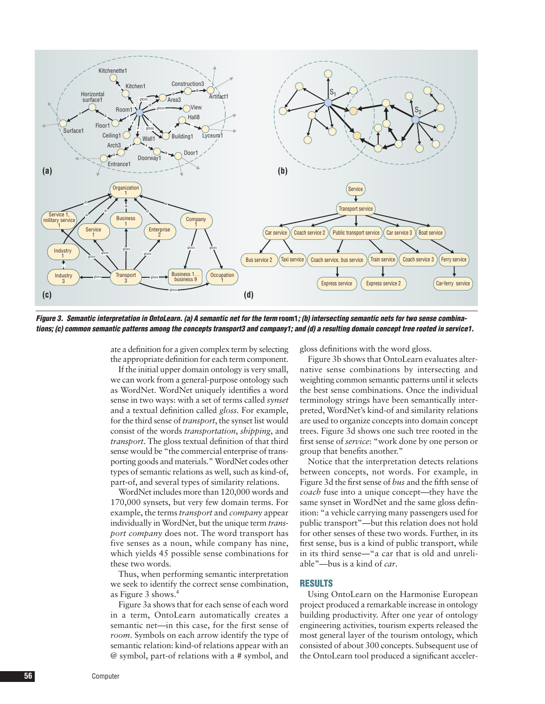

Figure 3. Semantic interpretation in OntoLearn. (a) A semantic net for the term room1; (b) intersecting semantic nets for two sense combina*tions; (c) common semantic patterns among the concepts transport3 and company1; and (d) a resulting domain concept tree rooted in service1.*

ate a definition for a given complex term by selecting the appropriate definition for each term component.

If the initial upper domain ontology is very small, we can work from a general-purpose ontology such as WordNet. WordNet uniquely identifies a word sense in two ways: with a set of terms called *synset* and a textual definition called *gloss.* For example, for the third sense of *transport*, the synset list would consist of the words *transportation*, *shipping*, and *transport*. The gloss textual definition of that third sense would be "the commercial enterprise of transporting goods and materials." WordNet codes other types of semantic relations as well, such as kind-of, part-of, and several types of similarity relations.

WordNet includes more than 120,000 words and 170,000 synsets, but very few domain terms. For example, the terms *transport* and *company* appear individually in WordNet, but the unique term *transport company* does not. The word transport has five senses as a noun, while company has nine, which yields 45 possible sense combinations for these two words.

Thus, when performing semantic interpretation we seek to identify the correct sense combination, as Figure 3 shows.4

Figure 3a shows that for each sense of each word in a term, OntoLearn automatically creates a semantic net—in this case, for the first sense of *room*. Symbols on each arrow identify the type of semantic relation: kind-of relations appear with an @ symbol, part-of relations with a # symbol, and gloss definitions with the word gloss.

Figure 3b shows that OntoLearn evaluates alternative sense combinations by intersecting and weighting common semantic patterns until it selects the best sense combinations. Once the individual terminology strings have been semantically interpreted, WordNet's kind-of and similarity relations are used to organize concepts into domain concept trees. Figure 3d shows one such tree rooted in the first sense of *service*: "work done by one person or group that benefits another."

Notice that the interpretation detects relations between concepts, not words. For example, in Figure 3d the first sense of *bus* and the fifth sense of *coach* fuse into a unique concept—they have the same synset in WordNet and the same gloss definition: "a vehicle carrying many passengers used for public transport"—but this relation does not hold for other senses of these two words. Further, in its first sense, bus is a kind of public transport, while in its third sense—"a car that is old and unreliable"—bus is a kind of *car*.

## RESULTS

Using OntoLearn on the Harmonise European project produced a remarkable increase in ontology building productivity. After one year of ontology engineering activities, tourism experts released the most general layer of the tourism ontology, which consisted of about 300 concepts. Subsequent use of the OntoLearn tool produced a significant acceler